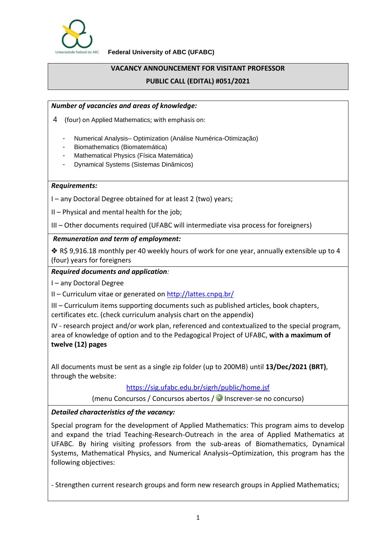

**Federal University of ABC (UFABC)**

## **VACANCY ANNOUNCEMENT FOR VISITANT PROFESSOR**

## **PUBLIC CALL (EDITAL) #051/2021**

## *Number of vacancies and areas of knowledge:*

- 4 (four) on Applied Mathematics; with emphasis on:
	- Numerical Analysis– Optimization (Análise Numérica-Otimização)
	- Biomathematics (Biomatemática)
	- Mathematical Physics (Física Matemática)
	- Dynamical Systems (Sistemas Dinâmicos)

#### *Requirements:*

I – any Doctoral Degree obtained for at least 2 (two) years;

II – Physical and mental health for the job;

III – Other documents required (UFABC will intermediate visa process for foreigners)

#### *Remuneration and term of employment:*

 $\clubsuit$  R\$ 9,916.18 monthly per 40 weekly hours of work for one year, annually extensible up to 4 (four) years for foreigners

#### *Required documents and application:*

I – any Doctoral Degree

II – Curriculum vitae or generated on <http://lattes.cnpq.br/>

III – Curriculum items supporting documents such as published articles, book chapters, certificates etc. (check curriculum analysis chart on the appendix)

IV - research project and/or work plan, referenced and contextualized to the special program, area of knowledge of option and to the Pedagogical Project of UFABC, **with a maximum of twelve (12) pages**

All documents must be sent as a single zip folder (up to 200MB) until **13/Dec/2021 (BRT)**, through the website:

<https://sig.ufabc.edu.br/sigrh/public/home.jsf>

(menu Concursos / Concursos abertos /  $\bigcirc$  Inscrever-se no concurso)

## *Detailed characteristics of the vacancy:*

Special program for the development of Applied Mathematics: This program aims to develop and expand the triad Teaching-Research-Outreach in the area of Applied Mathematics at UFABC. By hiring visiting professors from the sub-areas of Biomathematics, Dynamical Systems, Mathematical Physics, and Numerical Analysis–Optimization, this program has the following objectives:

- Strengthen current research groups and form new research groups in Applied Mathematics;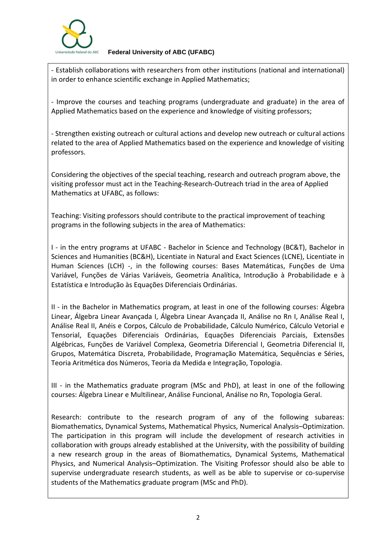

**Federal University of ABC (UFABC)**

- Establish collaborations with researchers from other institutions (national and international) in order to enhance scientific exchange in Applied Mathematics;

- Improve the courses and teaching programs (undergraduate and graduate) in the area of Applied Mathematics based on the experience and knowledge of visiting professors;

- Strengthen existing outreach or cultural actions and develop new outreach or cultural actions related to the area of Applied Mathematics based on the experience and knowledge of visiting professors.

Considering the objectives of the special teaching, research and outreach program above, the visiting professor must act in the Teaching-Research-Outreach triad in the area of Applied Mathematics at UFABC, as follows:

Teaching: Visiting professors should contribute to the practical improvement of teaching programs in the following subjects in the area of Mathematics:

I - in the entry programs at UFABC - Bachelor in Science and Technology (BC&T), Bachelor in Sciences and Humanities (BC&H), Licentiate in Natural and Exact Sciences (LCNE), Licentiate in Human Sciences (LCH) -, in the following courses: Bases Matemáticas, Funções de Uma Variável, Funções de Várias Variáveis, Geometria Analítica, Introdução à Probabilidade e à Estatística e Introdução às Equações Diferenciais Ordinárias.

II - in the Bachelor in Mathematics program, at least in one of the following courses: Álgebra Linear, Álgebra Linear Avançada I, Álgebra Linear Avançada II, Análise no Rn I, Análise Real I, Análise Real II, Anéis e Corpos, Cálculo de Probabilidade, Cálculo Numérico, Cálculo Vetorial e Tensorial, Equações Diferenciais Ordinárias, Equações Diferenciais Parciais, Extensões Algébricas, Funções de Variável Complexa, Geometria Diferencial I, Geometria Diferencial II, Grupos, Matemática Discreta, Probabilidade, Programação Matemática, Sequências e Séries, Teoria Aritmética dos Números, Teoria da Medida e Integração, Topologia.

III - in the Mathematics graduate program (MSc and PhD), at least in one of the following courses: Álgebra Linear e Multilinear, Análise Funcional, Análise no Rn, Topologia Geral.

Research: contribute to the research program of any of the following subareas: Biomathematics, Dynamical Systems, Mathematical Physics, Numerical Analysis–Optimization. The participation in this program will include the development of research activities in collaboration with groups already established at the University, with the possibility of building a new research group in the areas of Biomathematics, Dynamical Systems, Mathematical Physics, and Numerical Analysis–Optimization. The Visiting Professor should also be able to supervise undergraduate research students, as well as be able to supervise or co-supervise students of the Mathematics graduate program (MSc and PhD).